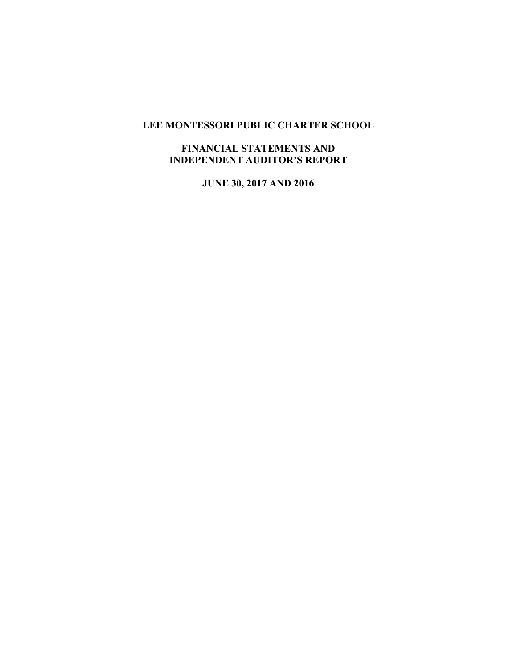# **LEE MONTESSORI PUBLIC CHARTER SCHOOL**

## **FINANCIAL STATEMENTS AND INDEPENDENT AUDITOR'S REPORT**

**JUNE 30, 2017 AND 2016**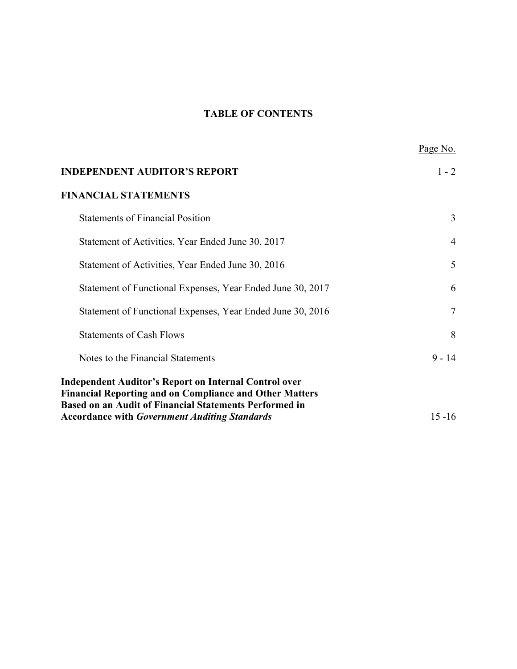# **TABLE OF CONTENTS**

|                                                                                                                                | Page No.       |
|--------------------------------------------------------------------------------------------------------------------------------|----------------|
| <b>INDEPENDENT AUDITOR'S REPORT</b>                                                                                            | $1 - 2$        |
| <b>FINANCIAL STATEMENTS</b>                                                                                                    |                |
| <b>Statements of Financial Position</b>                                                                                        | 3              |
| Statement of Activities, Year Ended June 30, 2017                                                                              | $\overline{4}$ |
| Statement of Activities, Year Ended June 30, 2016                                                                              | 5              |
| Statement of Functional Expenses, Year Ended June 30, 2017                                                                     | 6              |
| Statement of Functional Expenses, Year Ended June 30, 2016                                                                     | $\overline{7}$ |
| <b>Statements of Cash Flows</b>                                                                                                | 8              |
| Notes to the Financial Statements                                                                                              | $9 - 14$       |
| <b>Independent Auditor's Report on Internal Control over</b><br><b>Financial Reporting and on Compliance and Other Matters</b> |                |
| <b>Based on an Audit of Financial Statements Performed in</b>                                                                  |                |
| <b>Accordance with Government Auditing Standards</b>                                                                           | $15 - 16$      |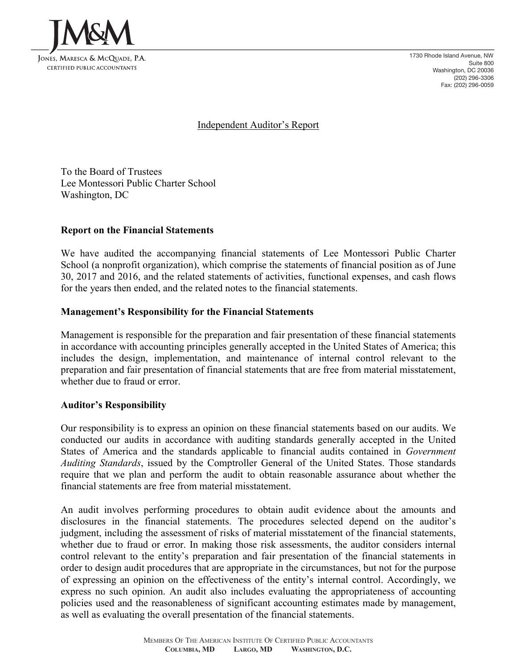

1730 Rhode Island Avenue, NW Suite 800 Washington, DC 20036 (202) 296-3306 Fax: (202) 296-0059

Independent Auditor's Report

To the Board of Trustees Lee Montessori Public Charter School Washington, DC

## **Report on the Financial Statements**

We have audited the accompanying financial statements of Lee Montessori Public Charter School (a nonprofit organization), which comprise the statements of financial position as of June 30, 2017 and 2016, and the related statements of activities, functional expenses, and cash flows for the years then ended, and the related notes to the financial statements.

## **Management's Responsibility for the Financial Statements**

Management is responsible for the preparation and fair presentation of these financial statements in accordance with accounting principles generally accepted in the United States of America; this includes the design, implementation, and maintenance of internal control relevant to the preparation and fair presentation of financial statements that are free from material misstatement, whether due to fraud or error.

#### **Auditor's Responsibility**

Our responsibility is to express an opinion on these financial statements based on our audits. We conducted our audits in accordance with auditing standards generally accepted in the United States of America and the standards applicable to financial audits contained in *Government Auditing Standards*, issued by the Comptroller General of the United States. Those standards require that we plan and perform the audit to obtain reasonable assurance about whether the financial statements are free from material misstatement.

An audit involves performing procedures to obtain audit evidence about the amounts and disclosures in the financial statements. The procedures selected depend on the auditor's judgment, including the assessment of risks of material misstatement of the financial statements, whether due to fraud or error. In making those risk assessments, the auditor considers internal control relevant to the entity's preparation and fair presentation of the financial statements in order to design audit procedures that are appropriate in the circumstances, but not for the purpose of expressing an opinion on the effectiveness of the entity's internal control. Accordingly, we express no such opinion. An audit also includes evaluating the appropriateness of accounting policies used and the reasonableness of significant accounting estimates made by management, as well as evaluating the overall presentation of the financial statements.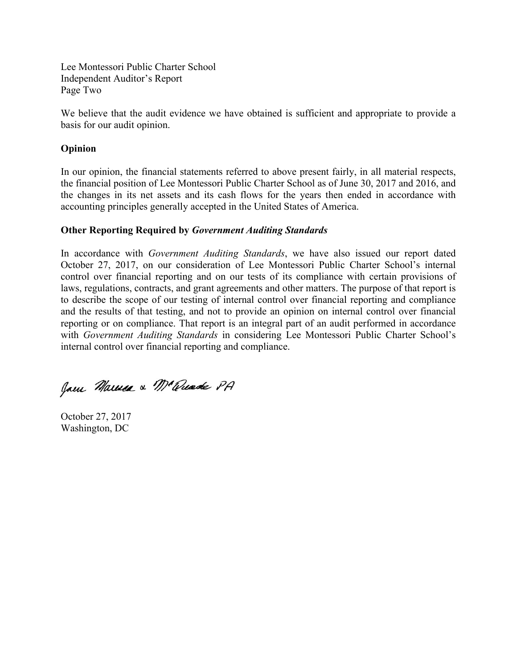Lee Montessori Public Charter School Independent Auditor's Report Page Two

We believe that the audit evidence we have obtained is sufficient and appropriate to provide a basis for our audit opinion.

## **Opinion**

In our opinion, the financial statements referred to above present fairly, in all material respects, the financial position of Lee Montessori Public Charter School as of June 30, 2017 and 2016, and the changes in its net assets and its cash flows for the years then ended in accordance with accounting principles generally accepted in the United States of America.

## **Other Reporting Required by** *Government Auditing Standards*

In accordance with *Government Auditing Standards*, we have also issued our report dated October 27, 2017, on our consideration of Lee Montessori Public Charter School's internal control over financial reporting and on our tests of its compliance with certain provisions of laws, regulations, contracts, and grant agreements and other matters. The purpose of that report is to describe the scope of our testing of internal control over financial reporting and compliance and the results of that testing, and not to provide an opinion on internal control over financial reporting or on compliance. That report is an integral part of an audit performed in accordance with *Government Auditing Standards* in considering Lee Montessori Public Charter School's internal control over financial reporting and compliance.

Jam Marma & M. Quade PA

October 27, 2017 Washington, DC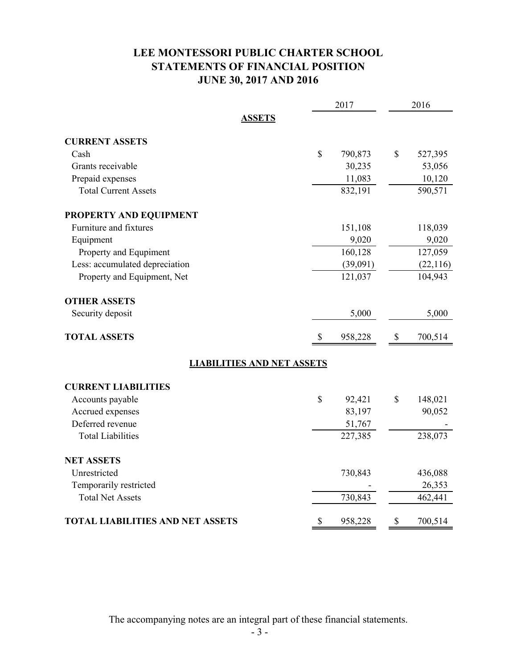# **LEE MONTESSORI PUBLIC CHARTER SCHOOL STATEMENTS OF FINANCIAL POSITION JUNE 30, 2017 AND 2016**

|                                         |              | 2017     | 2016          |
|-----------------------------------------|--------------|----------|---------------|
| <b>ASSETS</b>                           |              |          |               |
| <b>CURRENT ASSETS</b>                   |              |          |               |
| Cash                                    | \$           | 790,873  | \$<br>527,395 |
| Grants receivable                       |              | 30,235   | 53,056        |
| Prepaid expenses                        |              | 11,083   | 10,120        |
| <b>Total Current Assets</b>             |              | 832,191  | 590,571       |
| PROPERTY AND EQUIPMENT                  |              |          |               |
| Furniture and fixtures                  |              | 151,108  | 118,039       |
| Equipment                               |              | 9,020    | 9,020         |
| Property and Equpiment                  |              | 160,128  | 127,059       |
| Less: accumulated depreciation          |              | (39,091) | (22, 116)     |
| Property and Equipment, Net             |              | 121,037  | 104,943       |
| <b>OTHER ASSETS</b>                     |              |          |               |
| Security deposit                        |              | 5,000    | 5,000         |
| <b>TOTAL ASSETS</b>                     | \$           | 958,228  | \$<br>700,514 |
| <b>LIABILITIES AND NET ASSETS</b>       |              |          |               |
| <b>CURRENT LIABILITIES</b>              |              |          |               |
| Accounts payable                        | $\mathbb{S}$ | 92,421   | \$<br>148,021 |
| Accrued expenses                        |              | 83,197   | 90,052        |
| Deferred revenue                        |              | 51,767   |               |
| <b>Total Liabilities</b>                |              | 227,385  | 238,073       |
| <b>NET ASSETS</b>                       |              |          |               |
| Unrestricted                            |              | 730,843  | 436,088       |
| Temporarily restricted                  |              |          | 26,353        |
| <b>Total Net Assets</b>                 |              | 730,843  | 462,441       |
| <b>TOTAL LIABILITIES AND NET ASSETS</b> | \$           | 958,228  | \$<br>700,514 |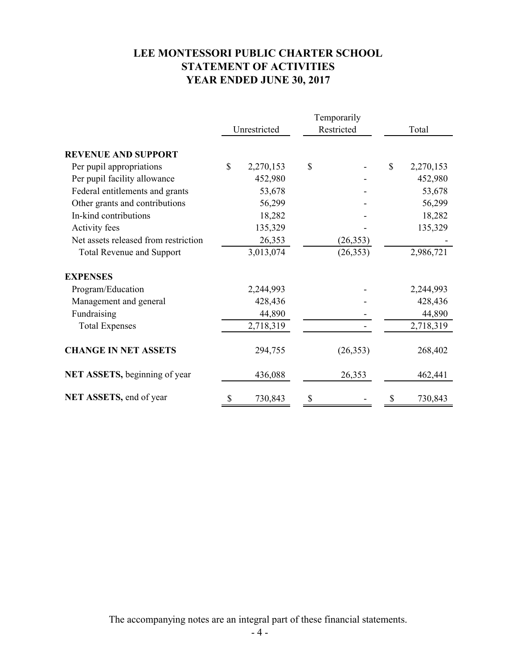# **LEE MONTESSORI PUBLIC CHARTER SCHOOL STATEMENT OF ACTIVITIES YEAR ENDED JUNE 30, 2017**

|                                      | Temporarily |              |    |            |    |           |  |
|--------------------------------------|-------------|--------------|----|------------|----|-----------|--|
|                                      |             | Unrestricted |    | Restricted |    | Total     |  |
| <b>REVENUE AND SUPPORT</b>           |             |              |    |            |    |           |  |
| Per pupil appropriations             | \$          | 2,270,153    | \$ |            | \$ | 2,270,153 |  |
| Per pupil facility allowance         |             | 452,980      |    |            |    | 452,980   |  |
| Federal entitlements and grants      |             | 53,678       |    |            |    | 53,678    |  |
| Other grants and contributions       |             | 56,299       |    |            |    | 56,299    |  |
| In-kind contributions                |             | 18,282       |    |            |    | 18,282    |  |
| Activity fees                        |             | 135,329      |    |            |    | 135,329   |  |
| Net assets released from restriction |             | 26,353       |    | (26, 353)  |    |           |  |
| <b>Total Revenue and Support</b>     |             | 3,013,074    |    | (26, 353)  |    | 2,986,721 |  |
| <b>EXPENSES</b>                      |             |              |    |            |    |           |  |
| Program/Education                    |             | 2,244,993    |    |            |    | 2,244,993 |  |
| Management and general               |             | 428,436      |    |            |    | 428,436   |  |
| Fundraising                          |             | 44,890       |    |            |    | 44,890    |  |
| <b>Total Expenses</b>                |             | 2,718,319    |    |            |    | 2,718,319 |  |
| <b>CHANGE IN NET ASSETS</b>          |             | 294,755      |    | (26, 353)  |    | 268,402   |  |
| NET ASSETS, beginning of year        |             | 436,088      |    | 26,353     |    | 462,441   |  |
| NET ASSETS, end of year              | \$          | 730,843      | \$ |            | S  | 730,843   |  |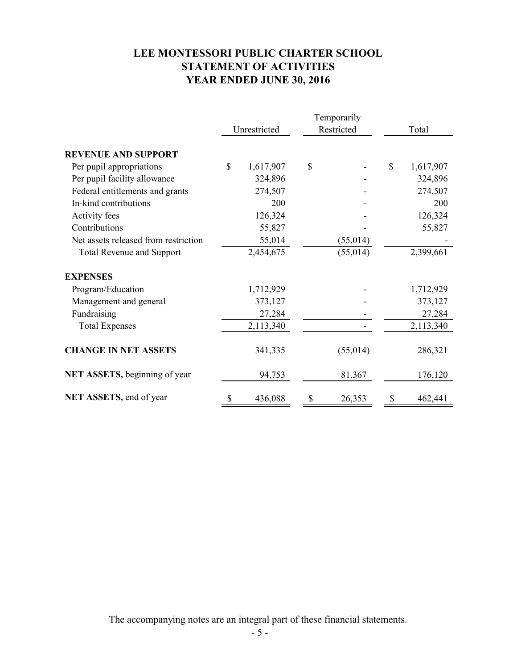# **LEE MONTESSORI PUBLIC CHARTER SCHOOL STATEMENT OF ACTIVITIES YEAR ENDED JUNE 30, 2016**

|                                      | Temporarily |              |    |            |              |           |  |
|--------------------------------------|-------------|--------------|----|------------|--------------|-----------|--|
|                                      |             | Unrestricted |    | Restricted |              | Total     |  |
| <b>REVENUE AND SUPPORT</b>           |             |              |    |            |              |           |  |
| Per pupil appropriations             | \$          | 1,617,907    | \$ |            | $\mathbb{S}$ | 1,617,907 |  |
| Per pupil facility allowance         |             | 324,896      |    |            |              | 324,896   |  |
| Federal entitlements and grants      |             | 274,507      |    |            |              | 274,507   |  |
| In-kind contributions                |             | 200          |    |            |              | 200       |  |
| Activity fees                        |             | 126,324      |    |            |              | 126,324   |  |
| Contributions                        |             | 55,827       |    |            |              | 55,827    |  |
| Net assets released from restriction |             | 55,014       |    | (55, 014)  |              |           |  |
| <b>Total Revenue and Support</b>     |             | 2,454,675    |    | (55, 014)  |              | 2,399,661 |  |
| <b>EXPENSES</b>                      |             |              |    |            |              |           |  |
| Program/Education                    |             | 1,712,929    |    |            |              | 1,712,929 |  |
| Management and general               |             | 373,127      |    |            |              | 373,127   |  |
| Fundraising                          |             | 27,284       |    |            |              | 27,284    |  |
| <b>Total Expenses</b>                |             | 2,113,340    |    |            |              | 2,113,340 |  |
| <b>CHANGE IN NET ASSETS</b>          |             | 341,335      |    | (55, 014)  |              | 286,321   |  |
| NET ASSETS, beginning of year        |             | 94,753       |    | 81,367     |              | 176,120   |  |
| NET ASSETS, end of year              | \$          | 436,088      | \$ | 26,353     | \$           | 462,441   |  |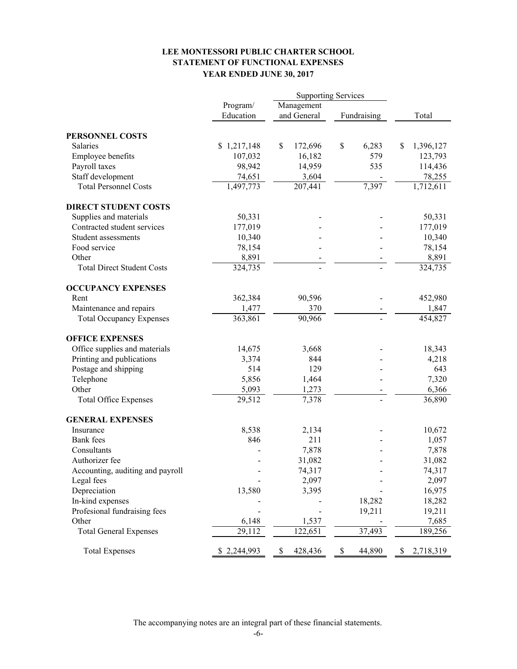#### **LEE MONTESSORI PUBLIC CHARTER SCHOOL STATEMENT OF FUNCTIONAL EXPENSES YEAR ENDED JUNE 30, 2017**

|                                   |                     |               | <b>Supporting Services</b> |                 |
|-----------------------------------|---------------------|---------------|----------------------------|-----------------|
|                                   | Program/            | Management    |                            |                 |
|                                   | Education           | and General   | Fundraising                | Total           |
| <b>PERSONNEL COSTS</b>            |                     |               |                            |                 |
| Salaries                          | \$1,217,148         | \$<br>172,696 | \$<br>6,283                | \$<br>1,396,127 |
| Employee benefits                 | 107,032             | 16,182        | 579                        | 123,793         |
| Payroll taxes                     | 98,942              | 14,959        | 535                        | 114,436         |
| Staff development                 | 74,651              | 3,604         |                            | 78,255          |
| <b>Total Personnel Costs</b>      | 1,497,773           | 207,441       | 7,397                      | 1,712,611       |
| <b>DIRECT STUDENT COSTS</b>       |                     |               |                            |                 |
| Supplies and materials            | 50,331              |               |                            | 50,331          |
| Contracted student services       | 177,019             |               |                            | 177,019         |
| Student assessments               | 10,340              |               |                            | 10,340          |
| Food service                      | 78,154              |               |                            | 78,154          |
| Other                             | 8,891               |               |                            | 8,891           |
| <b>Total Direct Student Costs</b> | 324,735             |               |                            | 324,735         |
| <b>OCCUPANCY EXPENSES</b>         |                     |               |                            |                 |
| Rent                              | 362,384             | 90,596        |                            | 452,980         |
| Maintenance and repairs           | 1,477               | 370           |                            | 1,847           |
| <b>Total Occupancy Expenses</b>   | 363,861             | 90,966        |                            | 454,827         |
| <b>OFFICE EXPENSES</b>            |                     |               |                            |                 |
| Office supplies and materials     | 14,675              | 3,668         |                            | 18,343          |
| Printing and publications         | 3,374               | 844           |                            | 4,218           |
| Postage and shipping              | 514                 | 129           |                            | 643             |
| Telephone                         | 5,856               | 1,464         |                            | 7,320           |
| Other                             | 5,093               | 1,273         |                            | 6,366           |
| <b>Total Office Expenses</b>      | 29,512              | 7,378         |                            | 36,890          |
| <b>GENERAL EXPENSES</b>           |                     |               |                            |                 |
| Insurance                         | 8,538               | 2,134         |                            | 10,672          |
| <b>Bank</b> fees                  | 846                 | 211           |                            | 1,057           |
| Consultants                       |                     | 7,878         |                            | 7,878           |
| Authorizer fee                    |                     | 31,082        |                            | 31,082          |
| Accounting, auditing and payroll  |                     | 74,317        |                            | 74,317          |
| Legal fees                        |                     | 2,097         |                            | 2,097           |
| Depreciation                      | 13,580              | 3,395         |                            | 16,975          |
| In-kind expenses                  |                     |               | 18,282                     | 18,282          |
| Profesional fundraising fees      |                     |               | 19,211                     | 19,211          |
| Other                             | 6,148               | 1,537         |                            | 7,685           |
| <b>Total General Expenses</b>     | $\overline{29,112}$ | 122,651       | 37,493                     | 189,256         |
| <b>Total Expenses</b>             | \$2,244,993         | \$<br>428,436 | \$<br>44,890               | 2,718,319<br>\$ |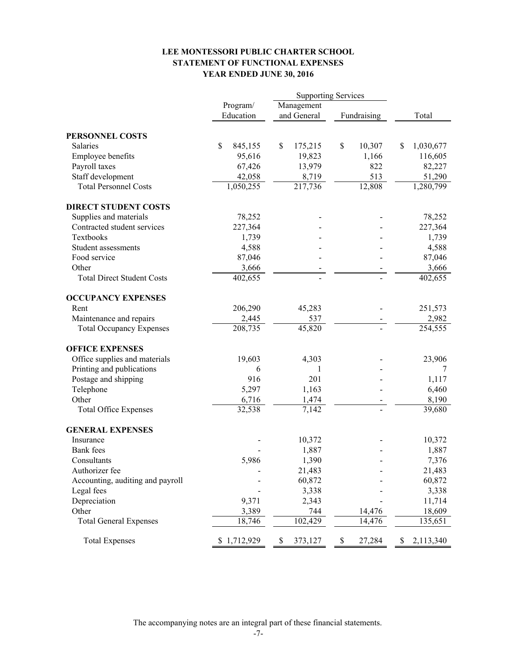#### **LEE MONTESSORI PUBLIC CHARTER SCHOOL STATEMENT OF FUNCTIONAL EXPENSES YEAR ENDED JUNE 30, 2016**

|                                   |               | <b>Supporting Services</b> |              |                      |
|-----------------------------------|---------------|----------------------------|--------------|----------------------|
|                                   | Program/      | Management                 |              |                      |
|                                   | Education     | and General                | Fundraising  | Total                |
| PERSONNEL COSTS                   |               |                            |              |                      |
| Salaries                          | \$<br>845,155 | \$<br>175,215              | \$<br>10,307 | S<br>1,030,677       |
| Employee benefits                 | 95,616        | 19,823                     | 1,166        | 116,605              |
| Payroll taxes                     | 67,426        | 13,979                     | 822          | 82,227               |
| Staff development                 | 42,058        | 8,719                      | 513          | 51,290               |
| <b>Total Personnel Costs</b>      | 1,050,255     | 217,736                    | 12,808       | 1,280,799            |
| <b>DIRECT STUDENT COSTS</b>       |               |                            |              |                      |
| Supplies and materials            | 78,252        |                            |              | 78,252               |
| Contracted student services       | 227,364       |                            |              | 227,364              |
| Textbooks                         | 1,739         |                            |              | 1,739                |
| Student assessments               | 4,588         |                            |              | 4,588                |
| Food service                      | 87,046        |                            |              | 87,046               |
| Other                             | 3,666         |                            |              | 3,666                |
| <b>Total Direct Student Costs</b> | 402,655       |                            |              | 402,655              |
| <b>OCCUPANCY EXPENSES</b>         |               |                            |              |                      |
| Rent                              | 206,290       | 45,283                     |              | 251,573              |
| Maintenance and repairs           | 2,445         | 537                        |              | 2,982                |
| <b>Total Occupancy Expenses</b>   | 208,735       | 45,820                     |              | $\overline{25}4,555$ |
| <b>OFFICE EXPENSES</b>            |               |                            |              |                      |
| Office supplies and materials     | 19,603        | 4,303                      |              | 23,906               |
| Printing and publications         | 6             | 1                          |              | 7                    |
| Postage and shipping              | 916           | 201                        |              | 1,117                |
| Telephone                         | 5,297         | 1,163                      |              | 6,460                |
| Other                             | 6,716         | 1,474                      |              | 8,190                |
| <b>Total Office Expenses</b>      | 32,538        | 7,142                      |              | 39,680               |
| <b>GENERAL EXPENSES</b>           |               |                            |              |                      |
| Insurance                         |               | 10,372                     |              | 10,372               |
| <b>Bank</b> fees                  |               | 1,887                      |              | 1,887                |
| Consultants                       | 5,986         | 1,390                      |              | 7,376                |
| Authorizer fee                    |               | 21,483                     |              | 21,483               |
| Accounting, auditing and payroll  |               | 60,872                     |              | 60,872               |
| Legal fees                        |               | 3,338                      |              | 3,338                |
| Depreciation                      | 9,371         | 2,343                      |              | 11,714               |
| Other                             | 3,389         | 744                        | 14,476       | 18,609               |
| <b>Total General Expenses</b>     | 18,746        | 102,429                    | 14,476       | 135,651              |
| <b>Total Expenses</b>             | \$1,712,929   | \$<br>373,127              | \$<br>27,284 | 2,113,340<br>\$      |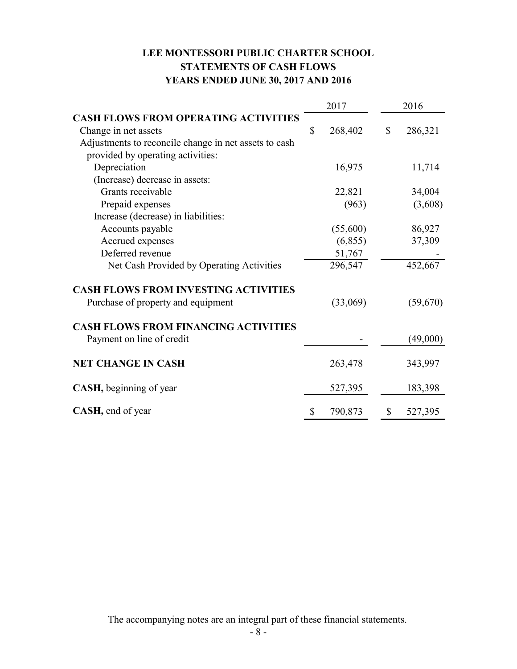# **LEE MONTESSORI PUBLIC CHARTER SCHOOL STATEMENTS OF CASH FLOWS YEARS ENDED JUNE 30, 2017 AND 2016**

|                                                       | 2017 |          | 2016 |          |
|-------------------------------------------------------|------|----------|------|----------|
| <b>CASH FLOWS FROM OPERATING ACTIVITIES</b>           |      |          |      |          |
| Change in net assets                                  | \$   | 268,402  | \$   | 286,321  |
| Adjustments to reconcile change in net assets to cash |      |          |      |          |
| provided by operating activities:                     |      |          |      |          |
| Depreciation                                          |      | 16,975   |      | 11,714   |
| (Increase) decrease in assets:                        |      |          |      |          |
| Grants receivable                                     |      | 22,821   |      | 34,004   |
| Prepaid expenses                                      |      | (963)    |      | (3,608)  |
| Increase (decrease) in liabilities:                   |      |          |      |          |
| Accounts payable                                      |      | (55,600) |      | 86,927   |
| Accrued expenses                                      |      | (6, 855) |      | 37,309   |
| Deferred revenue                                      |      | 51,767   |      |          |
| Net Cash Provided by Operating Activities             |      | 296,547  |      | 452,667  |
| <b>CASH FLOWS FROM INVESTING ACTIVITIES</b>           |      |          |      |          |
| Purchase of property and equipment                    |      | (33,069) |      | (59,670) |
| <b>CASH FLOWS FROM FINANCING ACTIVITIES</b>           |      |          |      |          |
| Payment on line of credit                             |      |          |      | (49,000) |
| <b>NET CHANGE IN CASH</b>                             |      | 263,478  |      | 343,997  |
| <b>CASH</b> , beginning of year                       |      | 527,395  |      | 183,398  |
| CASH, end of year                                     | \$   | 790,873  | \$   | 527,395  |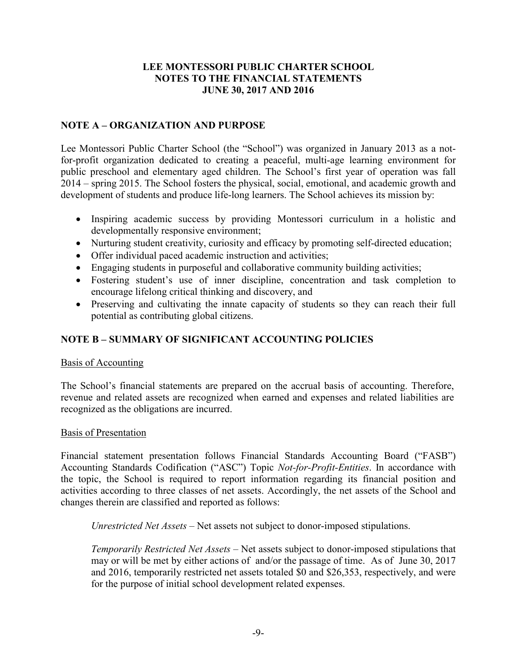## **NOTE A – ORGANIZATION AND PURPOSE**

Lee Montessori Public Charter School (the "School") was organized in January 2013 as a notfor-profit organization dedicated to creating a peaceful, multi-age learning environment for public preschool and elementary aged children. The School's first year of operation was fall 2014 – spring 2015. The School fosters the physical, social, emotional, and academic growth and development of students and produce life-long learners. The School achieves its mission by:

- Inspiring academic success by providing Montessori curriculum in a holistic and developmentally responsive environment;
- Nurturing student creativity, curiosity and efficacy by promoting self-directed education;
- Offer individual paced academic instruction and activities;
- Engaging students in purposeful and collaborative community building activities;
- Fostering student's use of inner discipline, concentration and task completion to encourage lifelong critical thinking and discovery, and
- Preserving and cultivating the innate capacity of students so they can reach their full potential as contributing global citizens.

# **NOTE B – SUMMARY OF SIGNIFICANT ACCOUNTING POLICIES**

## Basis of Accounting

The School's financial statements are prepared on the accrual basis of accounting. Therefore, revenue and related assets are recognized when earned and expenses and related liabilities are recognized as the obligations are incurred.

#### Basis of Presentation

Financial statement presentation follows Financial Standards Accounting Board ("FASB") Accounting Standards Codification ("ASC") Topic *Not-for-Profit-Entities*. In accordance with the topic, the School is required to report information regarding its financial position and activities according to three classes of net assets. Accordingly, the net assets of the School and changes therein are classified and reported as follows:

*Unrestricted Net Assets* – Net assets not subject to donor-imposed stipulations.

*Temporarily Restricted Net Assets* – Net assets subject to donor-imposed stipulations that may or will be met by either actions of and/or the passage of time. As of June 30, 2017 and 2016, temporarily restricted net assets totaled \$0 and \$26,353, respectively, and were for the purpose of initial school development related expenses.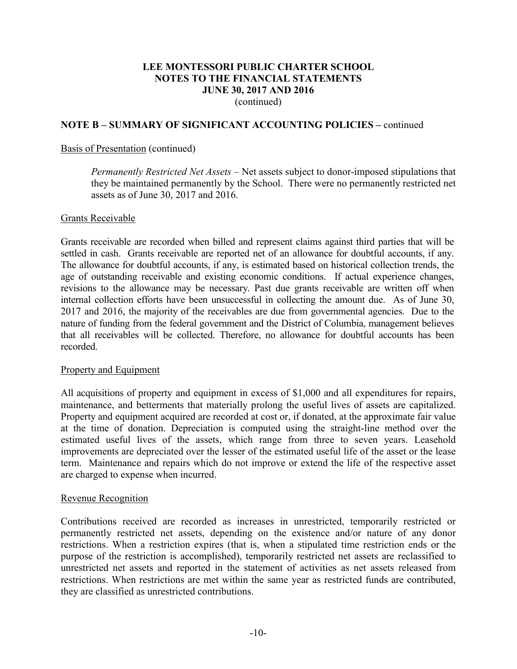## **NOTE B – SUMMARY OF SIGNIFICANT ACCOUNTING POLICIES –** continued

#### Basis of Presentation (continued)

*Permanently Restricted Net Assets* – Net assets subject to donor-imposed stipulations that they be maintained permanently by the School. There were no permanently restricted net assets as of June 30, 2017 and 2016.

#### Grants Receivable

Grants receivable are recorded when billed and represent claims against third parties that will be settled in cash. Grants receivable are reported net of an allowance for doubtful accounts, if any. The allowance for doubtful accounts, if any, is estimated based on historical collection trends, the age of outstanding receivable and existing economic conditions. If actual experience changes, revisions to the allowance may be necessary. Past due grants receivable are written off when internal collection efforts have been unsuccessful in collecting the amount due. As of June 30, 2017 and 2016, the majority of the receivables are due from governmental agencies. Due to the nature of funding from the federal government and the District of Columbia, management believes that all receivables will be collected. Therefore, no allowance for doubtful accounts has been recorded.

#### Property and Equipment

All acquisitions of property and equipment in excess of \$1,000 and all expenditures for repairs, maintenance, and betterments that materially prolong the useful lives of assets are capitalized. Property and equipment acquired are recorded at cost or, if donated, at the approximate fair value at the time of donation. Depreciation is computed using the straight-line method over the estimated useful lives of the assets, which range from three to seven years. Leasehold improvements are depreciated over the lesser of the estimated useful life of the asset or the lease term. Maintenance and repairs which do not improve or extend the life of the respective asset are charged to expense when incurred.

#### Revenue Recognition

Contributions received are recorded as increases in unrestricted, temporarily restricted or permanently restricted net assets, depending on the existence and/or nature of any donor restrictions. When a restriction expires (that is, when a stipulated time restriction ends or the purpose of the restriction is accomplished), temporarily restricted net assets are reclassified to unrestricted net assets and reported in the statement of activities as net assets released from restrictions. When restrictions are met within the same year as restricted funds are contributed, they are classified as unrestricted contributions.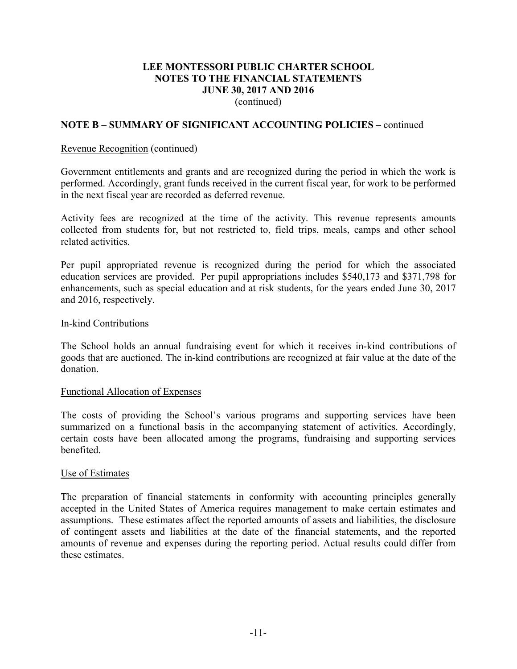## **NOTE B – SUMMARY OF SIGNIFICANT ACCOUNTING POLICIES –** continued

#### Revenue Recognition (continued)

Government entitlements and grants and are recognized during the period in which the work is performed. Accordingly, grant funds received in the current fiscal year, for work to be performed in the next fiscal year are recorded as deferred revenue.

Activity fees are recognized at the time of the activity. This revenue represents amounts collected from students for, but not restricted to, field trips, meals, camps and other school related activities.

Per pupil appropriated revenue is recognized during the period for which the associated education services are provided. Per pupil appropriations includes \$540,173 and \$371,798 for enhancements, such as special education and at risk students, for the years ended June 30, 2017 and 2016, respectively.

#### In-kind Contributions

The School holds an annual fundraising event for which it receives in-kind contributions of goods that are auctioned. The in-kind contributions are recognized at fair value at the date of the donation.

#### Functional Allocation of Expenses

The costs of providing the School's various programs and supporting services have been summarized on a functional basis in the accompanying statement of activities. Accordingly, certain costs have been allocated among the programs, fundraising and supporting services benefited.

#### Use of Estimates

The preparation of financial statements in conformity with accounting principles generally accepted in the United States of America requires management to make certain estimates and assumptions. These estimates affect the reported amounts of assets and liabilities, the disclosure of contingent assets and liabilities at the date of the financial statements, and the reported amounts of revenue and expenses during the reporting period. Actual results could differ from these estimates.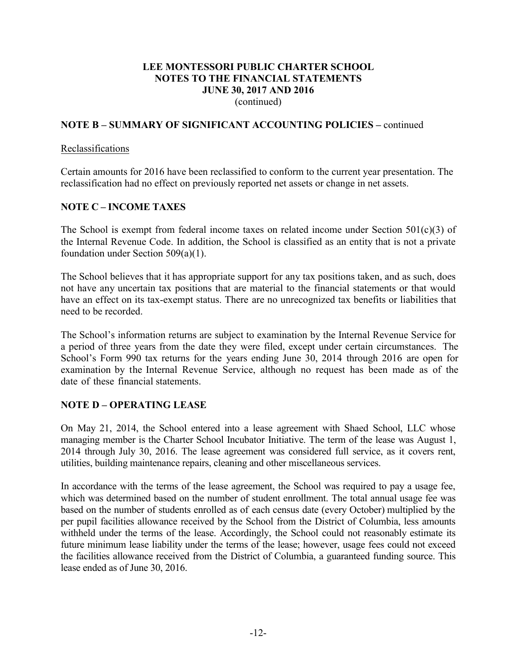## **NOTE B – SUMMARY OF SIGNIFICANT ACCOUNTING POLICIES –** continued

#### Reclassifications

Certain amounts for 2016 have been reclassified to conform to the current year presentation. The reclassification had no effect on previously reported net assets or change in net assets.

## **NOTE C – INCOME TAXES**

The School is exempt from federal income taxes on related income under Section  $501(c)(3)$  of the Internal Revenue Code. In addition, the School is classified as an entity that is not a private foundation under Section 509(a)(1).

The School believes that it has appropriate support for any tax positions taken, and as such, does not have any uncertain tax positions that are material to the financial statements or that would have an effect on its tax-exempt status. There are no unrecognized tax benefits or liabilities that need to be recorded.

The School's information returns are subject to examination by the Internal Revenue Service for a period of three years from the date they were filed, except under certain circumstances. The School's Form 990 tax returns for the years ending June 30, 2014 through 2016 are open for examination by the Internal Revenue Service, although no request has been made as of the date of these financial statements.

#### **NOTE D – OPERATING LEASE**

On May 21, 2014, the School entered into a lease agreement with Shaed School, LLC whose managing member is the Charter School Incubator Initiative. The term of the lease was August 1, 2014 through July 30, 2016. The lease agreement was considered full service, as it covers rent, utilities, building maintenance repairs, cleaning and other miscellaneous services.

In accordance with the terms of the lease agreement, the School was required to pay a usage fee, which was determined based on the number of student enrollment. The total annual usage fee was based on the number of students enrolled as of each census date (every October) multiplied by the per pupil facilities allowance received by the School from the District of Columbia, less amounts withheld under the terms of the lease. Accordingly, the School could not reasonably estimate its future minimum lease liability under the terms of the lease; however, usage fees could not exceed the facilities allowance received from the District of Columbia, a guaranteed funding source. This lease ended as of June 30, 2016.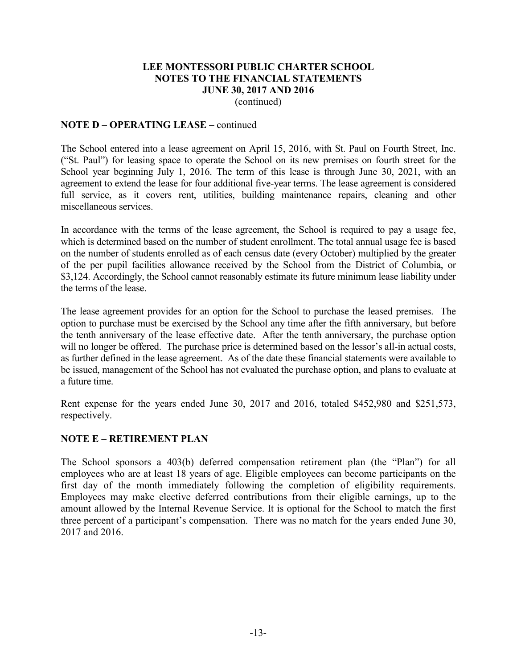#### **NOTE D – OPERATING LEASE –** continued

The School entered into a lease agreement on April 15, 2016, with St. Paul on Fourth Street, Inc. ("St. Paul") for leasing space to operate the School on its new premises on fourth street for the School year beginning July 1, 2016. The term of this lease is through June 30, 2021, with an agreement to extend the lease for four additional five-year terms. The lease agreement is considered full service, as it covers rent, utilities, building maintenance repairs, cleaning and other miscellaneous services.

In accordance with the terms of the lease agreement, the School is required to pay a usage fee, which is determined based on the number of student enrollment. The total annual usage fee is based on the number of students enrolled as of each census date (every October) multiplied by the greater of the per pupil facilities allowance received by the School from the District of Columbia, or \$3,124. Accordingly, the School cannot reasonably estimate its future minimum lease liability under the terms of the lease.

The lease agreement provides for an option for the School to purchase the leased premises. The option to purchase must be exercised by the School any time after the fifth anniversary, but before the tenth anniversary of the lease effective date. After the tenth anniversary, the purchase option will no longer be offered. The purchase price is determined based on the lessor's all-in actual costs, as further defined in the lease agreement. As of the date these financial statements were available to be issued, management of the School has not evaluated the purchase option, and plans to evaluate at a future time.

Rent expense for the years ended June 30, 2017 and 2016, totaled \$452,980 and \$251,573, respectively.

#### **NOTE E – RETIREMENT PLAN**

The School sponsors a 403(b) deferred compensation retirement plan (the "Plan") for all employees who are at least 18 years of age. Eligible employees can become participants on the first day of the month immediately following the completion of eligibility requirements. Employees may make elective deferred contributions from their eligible earnings, up to the amount allowed by the Internal Revenue Service. It is optional for the School to match the first three percent of a participant's compensation. There was no match for the years ended June 30, 2017 and 2016.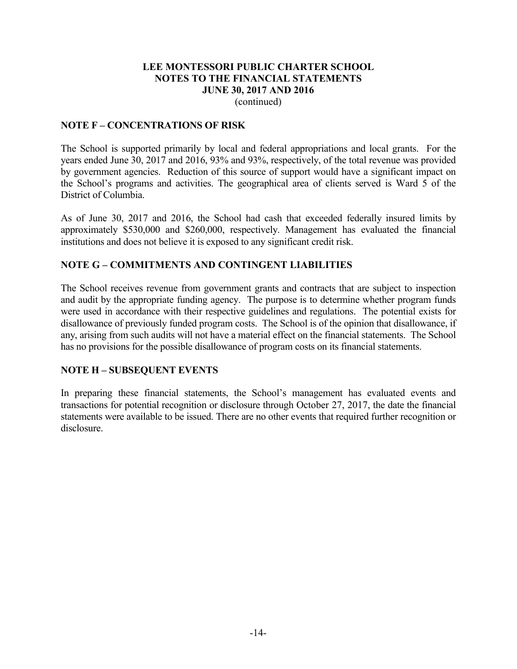#### **NOTE F – CONCENTRATIONS OF RISK**

The School is supported primarily by local and federal appropriations and local grants. For the years ended June 30, 2017 and 2016, 93% and 93%, respectively, of the total revenue was provided by government agencies. Reduction of this source of support would have a significant impact on the School's programs and activities. The geographical area of clients served is Ward 5 of the District of Columbia.

As of June 30, 2017 and 2016, the School had cash that exceeded federally insured limits by approximately \$530,000 and \$260,000, respectively. Management has evaluated the financial institutions and does not believe it is exposed to any significant credit risk.

## **NOTE G – COMMITMENTS AND CONTINGENT LIABILITIES**

The School receives revenue from government grants and contracts that are subject to inspection and audit by the appropriate funding agency. The purpose is to determine whether program funds were used in accordance with their respective guidelines and regulations. The potential exists for disallowance of previously funded program costs. The School is of the opinion that disallowance, if any, arising from such audits will not have a material effect on the financial statements. The School has no provisions for the possible disallowance of program costs on its financial statements.

#### **NOTE H – SUBSEQUENT EVENTS**

In preparing these financial statements, the School's management has evaluated events and transactions for potential recognition or disclosure through October 27, 2017, the date the financial statements were available to be issued. There are no other events that required further recognition or disclosure.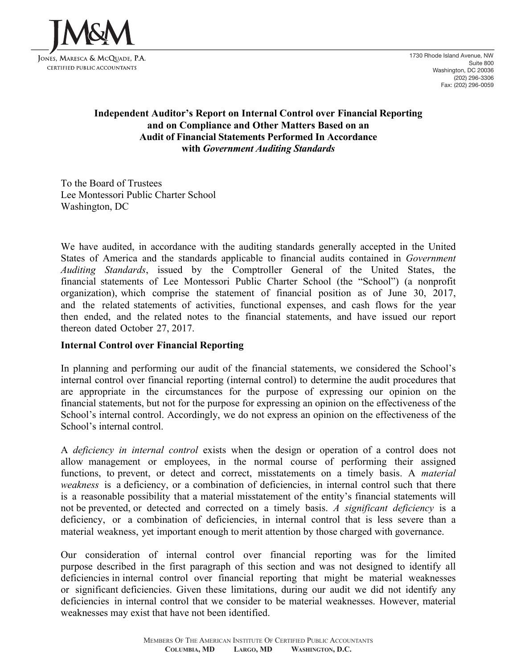

1730 Rhode Island Avenue, NW Suite 800 Washington, DC 20036 (202) 296-3306 Fax: (202) 296-0059

## **Independent Auditor's Report on Internal Control over Financial Reporting and on Compliance and Other Matters Based on an Audit of Financial Statements Performed In Accordance with** *Government Auditing Standards*

To the Board of Trustees Lee Montessori Public Charter School Washington, DC

We have audited, in accordance with the auditing standards generally accepted in the United States of America and the standards applicable to financial audits contained in *Government Auditing Standards*, issued by the Comptroller General of the United States, the financial statements of Lee Montessori Public Charter School (the "School") (a nonprofit organization), which comprise the statement of financial position as of June 30, 2017, and the related statements of activities, functional expenses, and cash flows for the year then ended, and the related notes to the financial statements, and have issued our report thereon dated October 27, 2017.

## **Internal Control over Financial Reporting**

In planning and performing our audit of the financial statements, we considered the School's internal control over financial reporting (internal control) to determine the audit procedures that are appropriate in the circumstances for the purpose of expressing our opinion on the financial statements, but not for the purpose for expressing an opinion on the effectiveness of the School's internal control. Accordingly, we do not express an opinion on the effectiveness of the School's internal control.

A *deficiency in internal control* exists when the design or operation of a control does not allow management or employees, in the normal course of performing their assigned functions, to prevent, or detect and correct, misstatements on a timely basis. A *material weakness* is a deficiency, or a combination of deficiencies, in internal control such that there is a reasonable possibility that a material misstatement of the entity's financial statements will not be prevented, or detected and corrected on a timely basis. *A significant deficiency* is a deficiency, or a combination of deficiencies, in internal control that is less severe than a material weakness, yet important enough to merit attention by those charged with governance.

Our consideration of internal control over financial reporting was for the limited purpose described in the first paragraph of this section and was not designed to identify all deficiencies in internal control over financial reporting that might be material weaknesses or significant deficiencies. Given these limitations, during our audit we did not identify any deficiencies in internal control that we consider to be material weaknesses. However, material weaknesses may exist that have not been identified.